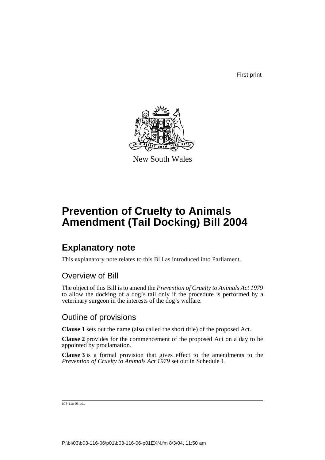First print



New South Wales

# **Prevention of Cruelty to Animals Amendment (Tail Docking) Bill 2004**

## **Explanatory note**

This explanatory note relates to this Bill as introduced into Parliament.

### Overview of Bill

The object of this Bill is to amend the *Prevention of Cruelty to Animals Act 1979* to allow the docking of a dog's tail only if the procedure is performed by a veterinary surgeon in the interests of the dog's welfare.

### Outline of provisions

**Clause 1** sets out the name (also called the short title) of the proposed Act.

**Clause 2** provides for the commencement of the proposed Act on a day to be appointed by proclamation.

**Clause 3** is a formal provision that gives effect to the amendments to the *Prevention of Cruelty to Animals Act 1979* set out in Schedule 1.

b03-116-06.p01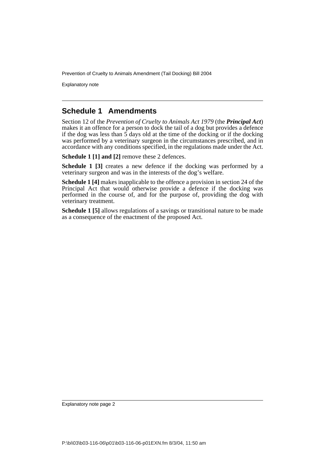Prevention of Cruelty to Animals Amendment (Tail Docking) Bill 2004

Explanatory note

#### **Schedule 1 Amendments**

Section 12 of the *Prevention of Cruelty to Animals Act 1979* (the *Principal Act*) makes it an offence for a person to dock the tail of a dog but provides a defence if the dog was less than  $\frac{2}{5}$  days old at the time of the docking or if the docking was performed by a veterinary surgeon in the circumstances prescribed, and in accordance with any conditions specified, in the regulations made under the Act.

**Schedule 1 [1] and [2]** remove these 2 defences.

**Schedule 1 [3]** creates a new defence if the docking was performed by a veterinary surgeon and was in the interests of the dog's welfare.

**Schedule 1 [4]** makes inapplicable to the offence a provision in section 24 of the Principal Act that would otherwise provide a defence if the docking was performed in the course of, and for the purpose of, providing the dog with veterinary treatment.

**Schedule 1 [5]** allows regulations of a savings or transitional nature to be made as a consequence of the enactment of the proposed Act.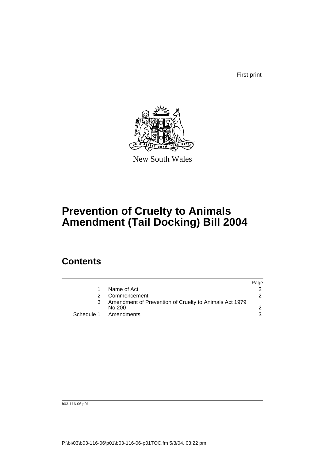First print



New South Wales

## **Prevention of Cruelty to Animals Amendment (Tail Docking) Bill 2004**

### **Contents**

|                                                                  | Page |
|------------------------------------------------------------------|------|
| Name of Act                                                      |      |
| Commencement                                                     | 2    |
| Amendment of Prevention of Cruelty to Animals Act 1979<br>No 200 |      |
| Schedule 1 Amendments                                            |      |

b03-116-06.p01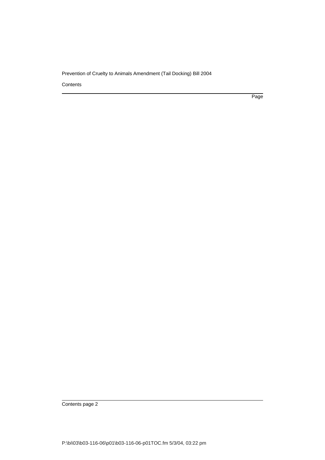#### Prevention of Cruelty to Animals Amendment (Tail Docking) Bill 2004

**Contents** 

Page

Contents page 2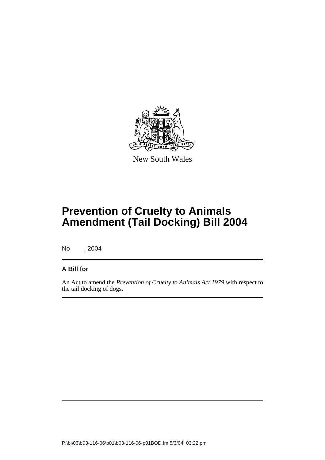

New South Wales

# **Prevention of Cruelty to Animals Amendment (Tail Docking) Bill 2004**

No , 2004

#### **A Bill for**

An Act to amend the *Prevention of Cruelty to Animals Act 1979* with respect to the tail docking of dogs.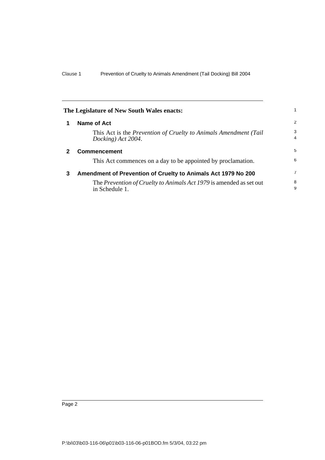<span id="page-5-2"></span><span id="page-5-1"></span><span id="page-5-0"></span>

| The Legislature of New South Wales enacts: |                                                                                        |                     |
|--------------------------------------------|----------------------------------------------------------------------------------------|---------------------|
| 1                                          | <b>Name of Act</b>                                                                     | 2                   |
|                                            | This Act is the Prevention of Cruelty to Animals Amendment (Tail<br>Docking) Act 2004. | 3<br>$\overline{4}$ |
| $\mathbf{2}$                               | <b>Commencement</b>                                                                    | 5                   |
|                                            | This Act commences on a day to be appointed by proclamation.                           | 6                   |
| 3                                          | Amendment of Prevention of Cruelty to Animals Act 1979 No 200                          | $\overline{7}$      |
|                                            | The Prevention of Cruelty to Animals Act 1979 is amended as set out<br>in Schedule 1.  | 8<br>9              |